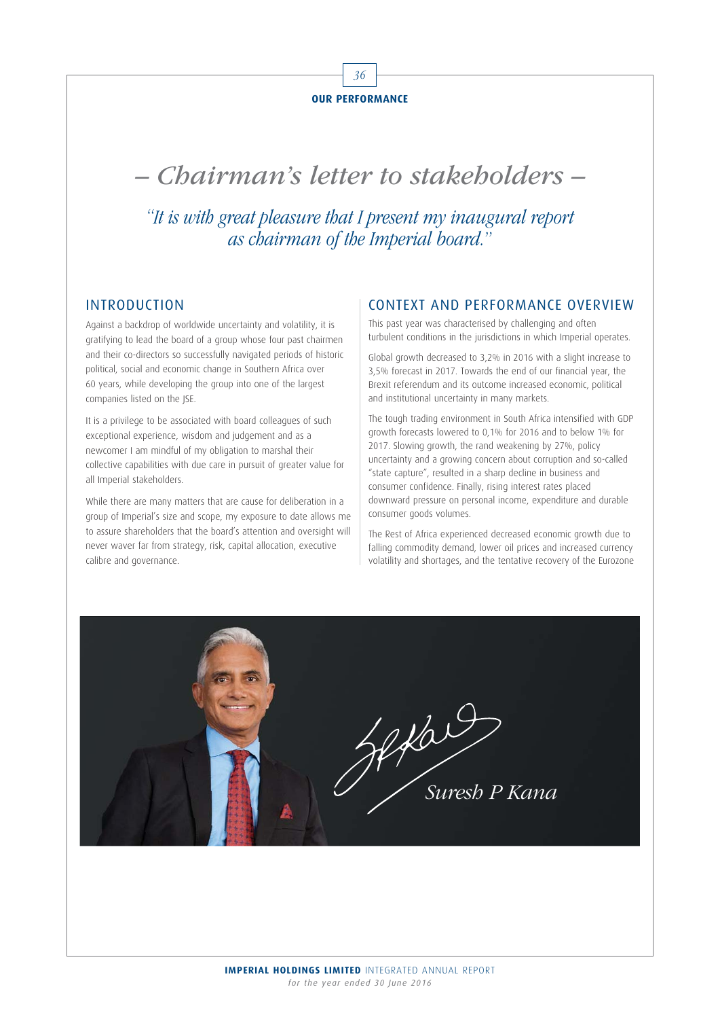

# – Chairman's letter to stakeholders –

"It is with great pleasure that I present my inaugural report as chairman of the Imperial board."

## INTRODUCTION

Against a backdrop of worldwide uncertainty and volatility, it is gratifying to lead the board of a group whose four past chairmen and their co-directors so successfully navigated periods of historic political, social and economic change in Southern Africa over 60 years, while developing the group into one of the largest companies listed on the JSE.

It is a privilege to be associated with board colleagues of such exceptional experience, wisdom and judgement and as a newcomer I am mindful of my obligation to marshal their collective capabilities with due care in pursuit of greater value for all Imperial stakeholders.

While there are many matters that are cause for deliberation in a group of Imperial's size and scope, my exposure to date allows me to assure shareholders that the board's attention and oversight will never waver far from strategy, risk, capital allocation, executive calibre and governance.

#### CONTEXT AND PERFORMANCE OVERVIEW

This past year was characterised by challenging and often turbulent conditions in the jurisdictions in which Imperial operates.

Global growth decreased to 3,2% in 2016 with a slight increase to 3,5% forecast in 2017. Towards the end of our financial year, the Brexit referendum and its outcome increased economic, political and institutional uncertainty in many markets.

The tough trading environment in South Africa intensified with GDP growth forecasts lowered to 0,1% for 2016 and to below 1% for 2017. Slowing growth, the rand weakening by 27%, policy uncertainty and a growing concern about corruption and so-called "state capture", resulted in a sharp decline in business and consumer confidence. Finally, rising interest rates placed downward pressure on personal income, expenditure and durable consumer goods volumes.

The Rest of Africa experienced decreased economic growth due to falling commodity demand, lower oil prices and increased currency volatility and shortages, and the tentative recovery of the Eurozone

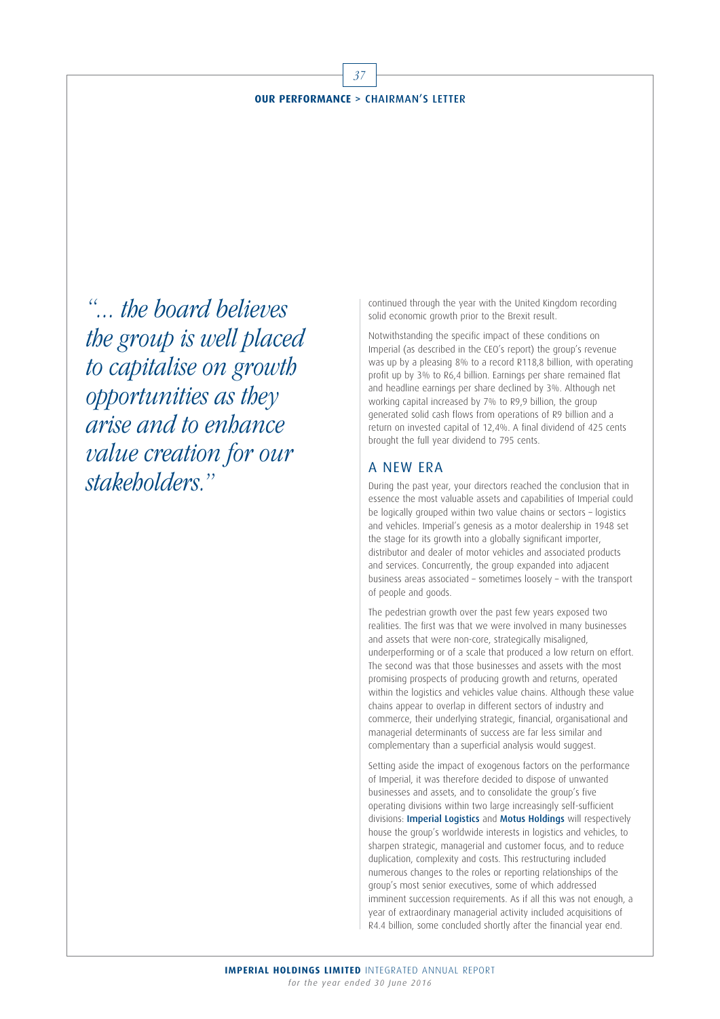#### **OUR PERFORMANCE** > CHAIRMAN'S LETTER

 $\overline{3}$ 

"... the board believes the group is well placed to capitalise on growth opportunities as they arise and to enhance value creation for our stakeholders."

continued through the year with the United Kingdom recording solid economic growth prior to the Brexit result.

Notwithstanding the specific impact of these conditions on Imperial (as described in the CEO's report) the group's revenue was up by a pleasing 8% to a record R118,8 billion, with operating profit up by 3% to R6,4 billion. Earnings per share remained flat and headline earnings per share declined by 3%. Although net working capital increased by 7% to R9,9 billion, the group generated solid cash flows from operations of R9 billion and a return on invested capital of 12,4%. A final dividend of 425 cents brought the full year dividend to 795 cents.

#### A NEW ERA

During the past year, your directors reached the conclusion that in essence the most valuable assets and capabilities of Imperial could be logically grouped within two value chains or sectors – logistics and vehicles. Imperial's genesis as a motor dealership in 1948 set the stage for its growth into a globally significant importer, distributor and dealer of motor vehicles and associated products and services. Concurrently, the group expanded into adjacent business areas associated – sometimes loosely – with the transport of people and goods.

The pedestrian growth over the past few years exposed two realities. The first was that we were involved in many businesses and assets that were non-core, strategically misaligned, underperforming or of a scale that produced a low return on effort. The second was that those businesses and assets with the most promising prospects of producing growth and returns, operated within the logistics and vehicles value chains. Although these value chains appear to overlap in different sectors of industry and commerce, their underlying strategic, financial, organisational and managerial determinants of success are far less similar and complementary than a superficial analysis would suggest.

Setting aside the impact of exogenous factors on the performance of Imperial, it was therefore decided to dispose of unwanted businesses and assets, and to consolidate the group's five operating divisions within two large increasingly self-sufficient divisions: **Imperial Logistics** and **Motus Holdings** will respectively house the group's worldwide interests in logistics and vehicles, to sharpen strategic, managerial and customer focus, and to reduce duplication, complexity and costs. This restructuring included numerous changes to the roles or reporting relationships of the group's most senior executives, some of which addressed imminent succession requirements. As if all this was not enough, a year of extraordinary managerial activity included acquisitions of R4.4 billion, some concluded shortly after the financial year end.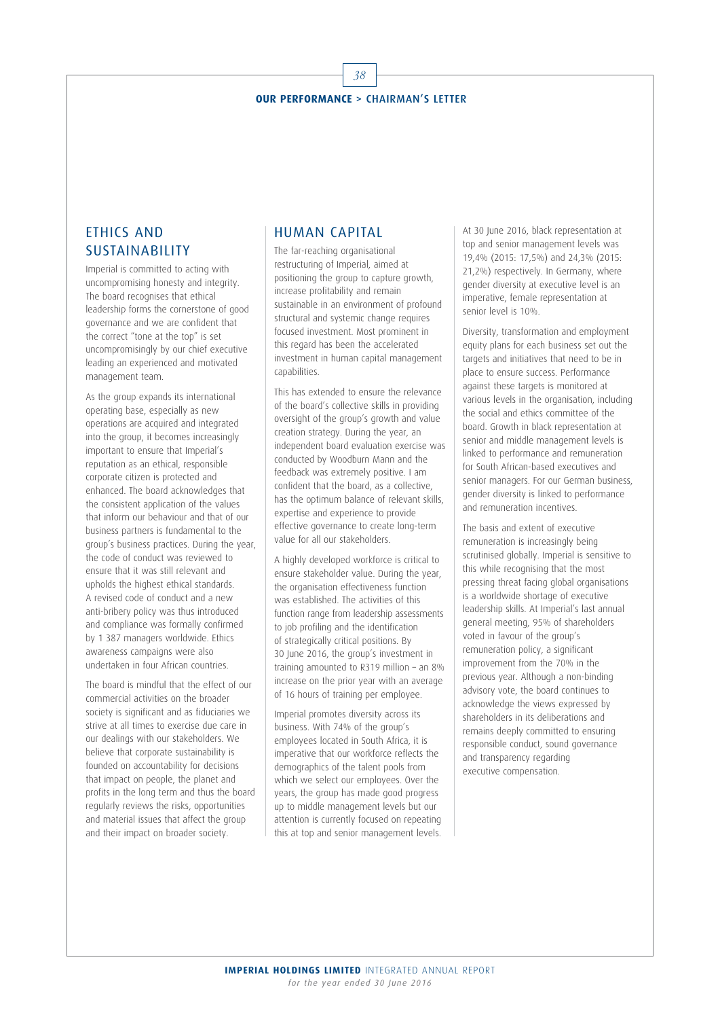## 38 **OUR PERFORMANCE** > CHAIRMAN'S LETTER

## ETHICS AND SUSTAINABILITY

Imperial is committed to acting with uncompromising honesty and integrity. The board recognises that ethical leadership forms the cornerstone of good governance and we are confident that the correct "tone at the top" is set uncompromisingly by our chief executive leading an experienced and motivated management team.

As the group expands its international operating base, especially as new operations are acquired and integrated into the group, it becomes increasingly important to ensure that Imperial's reputation as an ethical, responsible corporate citizen is protected and enhanced. The board acknowledges that the consistent application of the values that inform our behaviour and that of our business partners is fundamental to the group's business practices. During the year, the code of conduct was reviewed to ensure that it was still relevant and upholds the highest ethical standards. A revised code of conduct and a new anti-bribery policy was thus introduced and compliance was formally confirmed by 1 387 managers worldwide. Ethics awareness campaigns were also undertaken in four African countries.

The board is mindful that the effect of our commercial activities on the broader society is significant and as fiduciaries we strive at all times to exercise due care in our dealings with our stakeholders. We believe that corporate sustainability is founded on accountability for decisions that impact on people, the planet and profits in the long term and thus the board regularly reviews the risks, opportunities and material issues that affect the group and their impact on broader society.

## HUMAN CAPITAL

The far-reaching organisational restructuring of Imperial, aimed at positioning the group to capture growth, increase profitability and remain sustainable in an environment of profound structural and systemic change requires focused investment. Most prominent in this regard has been the accelerated investment in human capital management capabilities.

This has extended to ensure the relevance of the board's collective skills in providing oversight of the group's growth and value creation strategy. During the year, an independent board evaluation exercise was conducted by Woodburn Mann and the feedback was extremely positive. I am confident that the board, as a collective, has the optimum balance of relevant skills expertise and experience to provide effective governance to create long-term value for all our stakeholders.

A highly developed workforce is critical to ensure stakeholder value. During the year, the organisation effectiveness function was established. The activities of this function range from leadership assessments to job profiling and the identification of strategically critical positions. By 30 June 2016, the group's investment in training amounted to R319 million – an 8% increase on the prior year with an average of 16 hours of training per employee.

Imperial promotes diversity across its business. With 74% of the group's employees located in South Africa, it is imperative that our workforce reflects the demographics of the talent pools from which we select our employees. Over the years, the group has made good progress up to middle management levels but our attention is currently focused on repeating this at top and senior management levels.

At 30 June 2016, black representation at top and senior management levels was 19,4% (2015: 17,5%) and 24,3% (2015: 21,2%) respectively. In Germany, where gender diversity at executive level is an imperative, female representation at senior level is 10%.

Diversity, transformation and employment equity plans for each business set out the targets and initiatives that need to be in place to ensure success. Performance against these targets is monitored at various levels in the organisation, including the social and ethics committee of the board. Growth in black representation at senior and middle management levels is linked to performance and remuneration for South African-based executives and senior managers. For our German business, gender diversity is linked to performance and remuneration incentives.

The basis and extent of executive remuneration is increasingly being scrutinised globally. Imperial is sensitive to this while recognising that the most pressing threat facing global organisations is a worldwide shortage of executive leadership skills. At Imperial's last annual general meeting, 95% of shareholders voted in favour of the group's remuneration policy, a significant improvement from the 70% in the previous year. Although a non-binding advisory vote, the board continues to acknowledge the views expressed by shareholders in its deliberations and remains deeply committed to ensuring responsible conduct, sound governance and transparency regarding executive compensation.